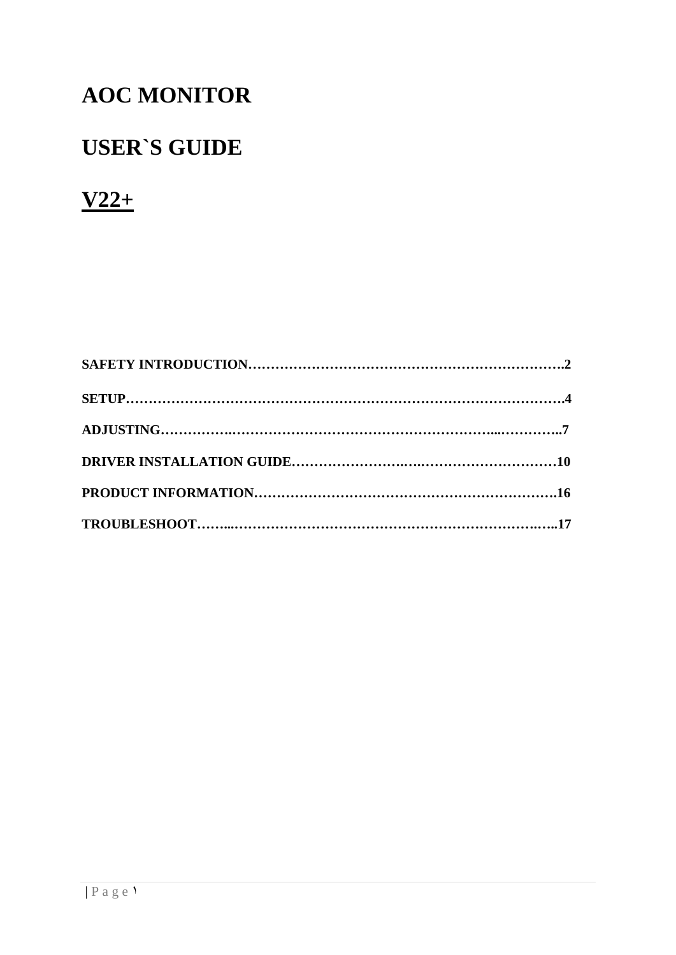# **AOC MONITOR**

### **USER`S GUIDE**

# **V22+**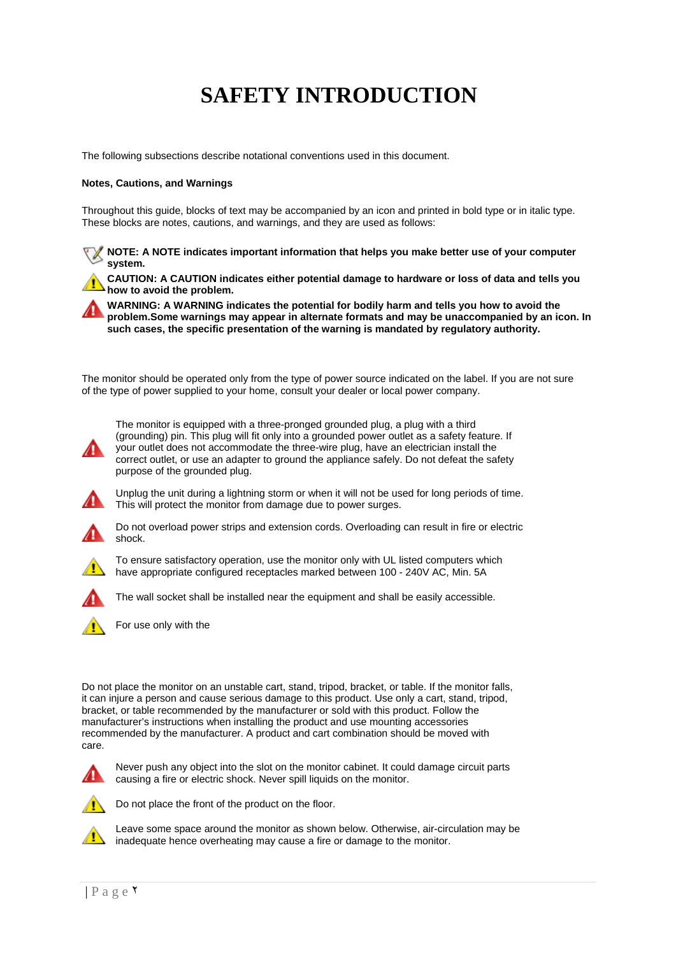# **SAFETY INTRODUCTION**

The following subsections describe notational conventions used in this document.

#### **Notes, Cautions, and Warnings**

Throughout this guide, blocks of text may be accompanied by an icon and printed in bold type or in italic type. These blocks are notes, cautions, and warnings, and they are used as follows:

**NOTE: A NOTE indicates important information that helps you make better use of your computer system.**

**CAUTION: A CAUTION indicates either potential damage to hardware or loss of data and tells you how to avoid the problem.**

**WARNING: A WARNING indicates the potential for bodily harm and tells you how to avoid the problem.Some warnings may appear in alternate formats and may be unaccompanied by an icon. In such cases, the specific presentation of the warning is mandated by regulatory authority.** 

The monitor should be operated only from the type of power source indicated on the label. If you are not sure of the type of power supplied to your home, consult your dealer or local power company.



The monitor is equipped with a three-pronged grounded plug, a plug with a third (grounding) pin. This plug will fit only into a grounded power outlet as a safety feature. If your outlet does not accommodate the three-wire plug, have an electrician install the correct outlet, or use an adapter to ground the appliance safely. Do not defeat the safety purpose of the grounded plug.



Unplug the unit during a lightning storm or when it will not be used for long periods of time. This will protect the monitor from damage due to power surges.



Do not overload power strips and extension cords. Overloading can result in fire or electric shock.



To ensure satisfactory operation, use the monitor only with UL listed computers which have appropriate configured receptacles marked between 100 - 240V AC, Min. 5A



The wall socket shall be installed near the equipment and shall be easily accessible.



For use only with the

Do not place the monitor on an unstable cart, stand, tripod, bracket, or table. If the monitor falls, it can injure a person and cause serious damage to this product. Use only a cart, stand, tripod, bracket, or table recommended by the manufacturer or sold with this product. Follow the manufacturer's instructions when installing the product and use mounting accessories recommended by the manufacturer. A product and cart combination should be moved with care.



Never push any object into the slot on the monitor cabinet. It could damage circuit parts causing a fire or electric shock. Never spill liquids on the monitor.



Do not place the front of the product on the floor.

Leave some space around the monitor as shown below. Otherwise, air-circulation may be inadequate hence overheating may cause a fire or damage to the monitor.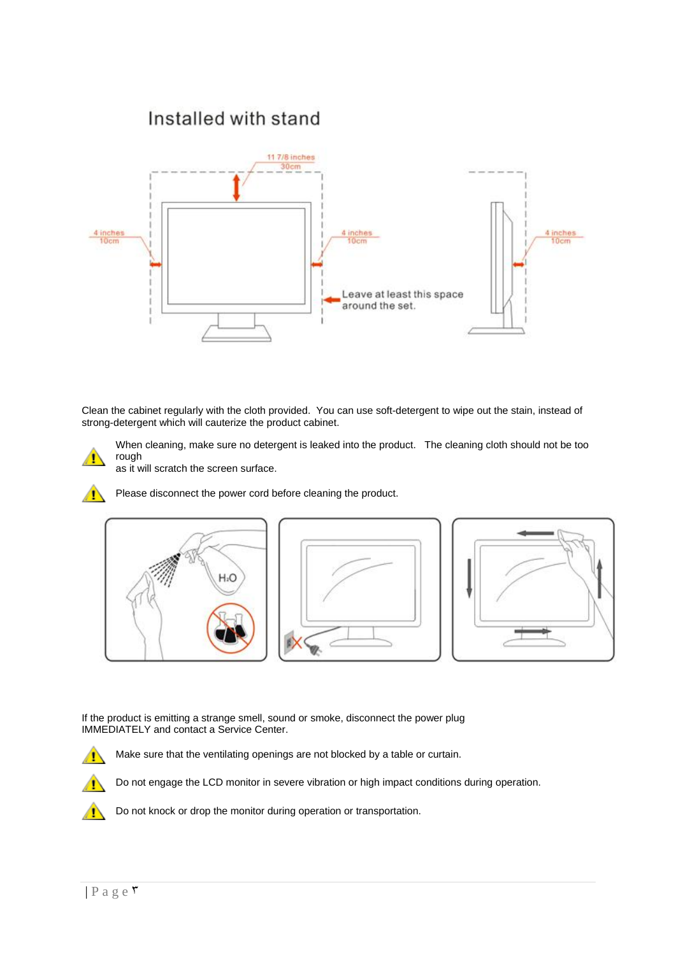### Installed with stand



Clean the cabinet regularly with the cloth provided. You can use soft-detergent to wipe out the stain, instead of strong-detergent which will cauterize the product cabinet.



as it will scratch the screen surface.



Please disconnect the power cord before cleaning the product.



If the product is emitting a strange smell, sound or smoke, disconnect the power plug IMMEDIATELY and contact a Service Center.





Æ

Do not engage the LCD monitor in severe vibration or high impact conditions during operation.

Do not knock or drop the monitor during operation or transportation.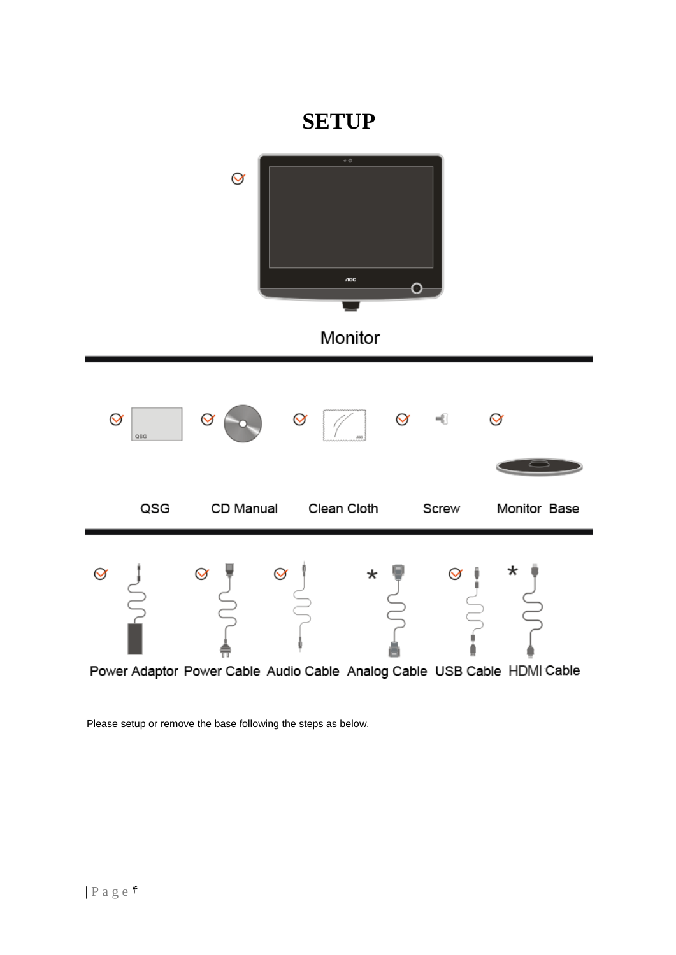### **SETUP**



Please setup or remove the base following the steps as below.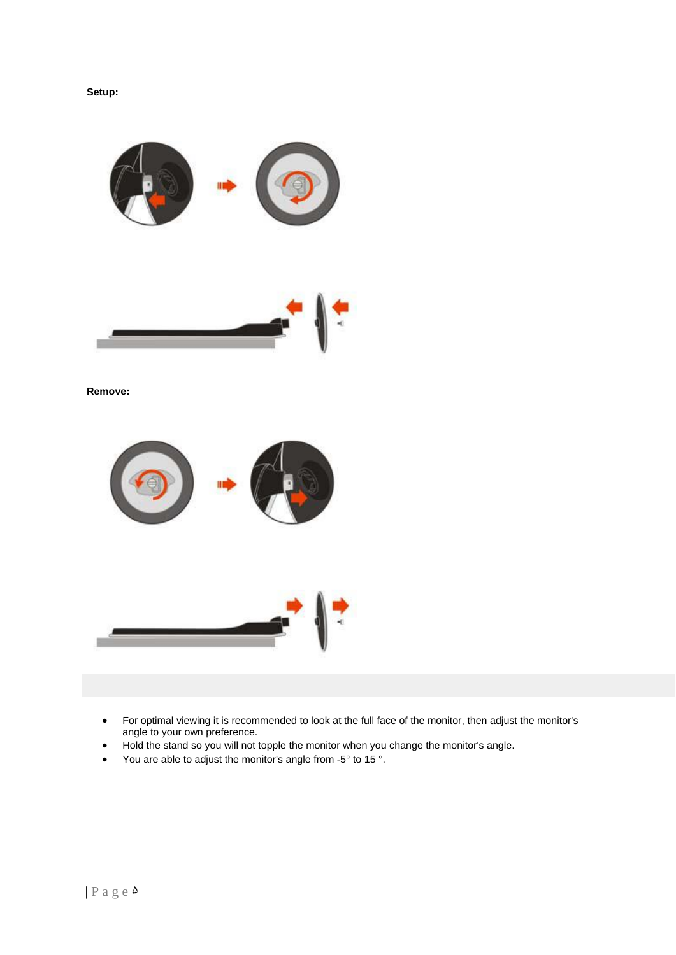

#### **Remove:**

**Setup:**



- For optimal viewing it is recommended to look at the full face of the monitor, then adjust the monitor's angle to your own preference.
- Hold the stand so you will not topple the monitor when you change the monitor's angle.
- You are able to adjust the monitor's angle from -5° to 15 °.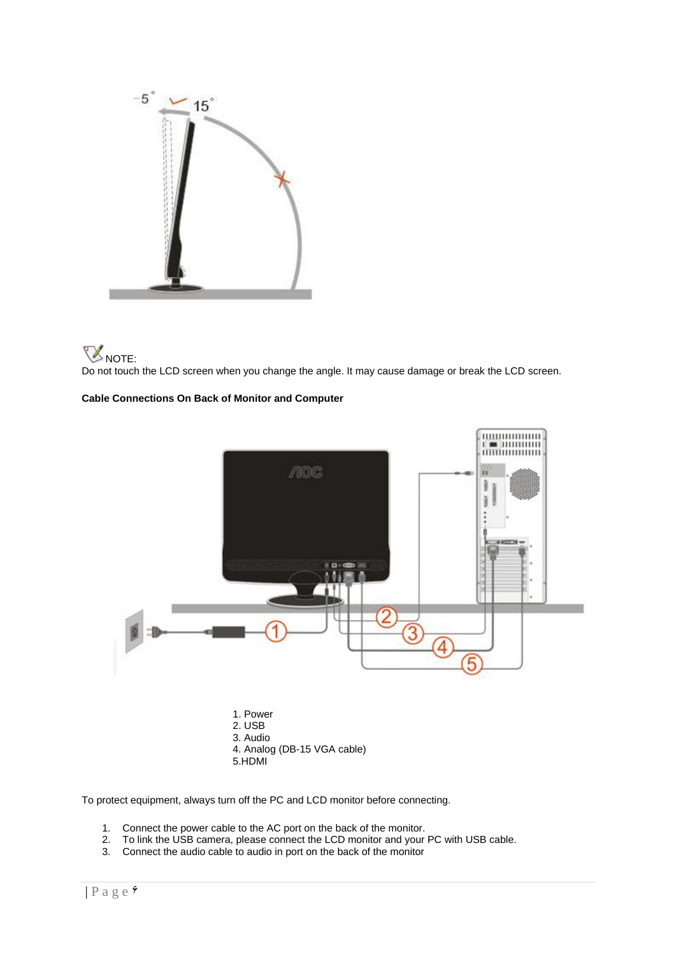



#### **Cable Connections On Back of Monitor and Computer**



To protect equipment, always turn off the PC and LCD monitor before connecting.

- 1. Connect the power cable to the AC port on the back of the monitor.
- 2. To link the USB camera, please connect the LCD monitor and your PC with USB cable.
- 3. Connect the audio cable to audio in port on the back of the monitor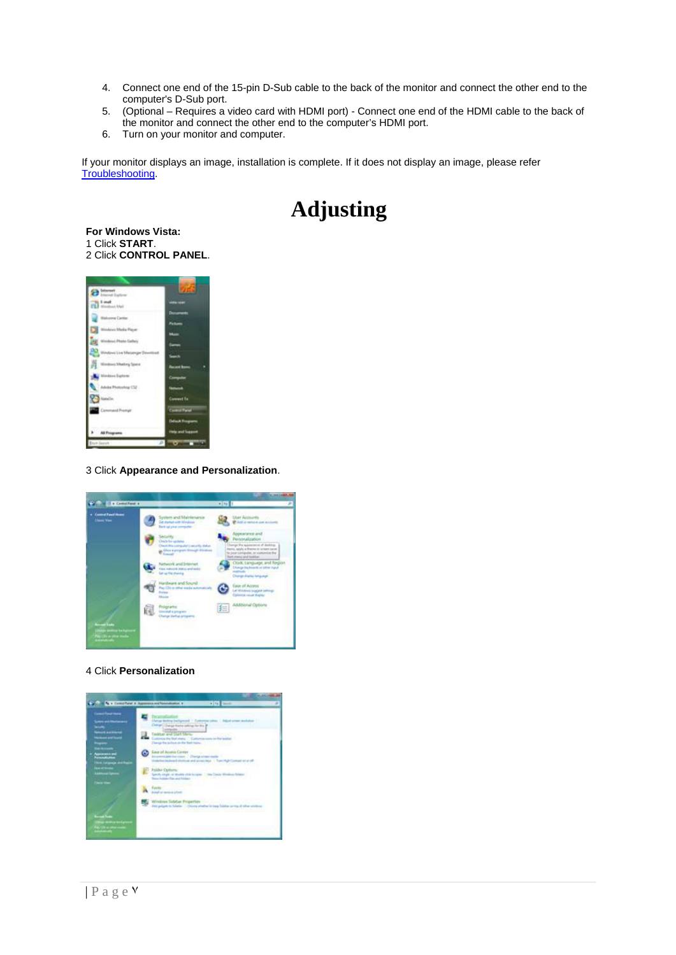- 4. Connect one end of the 15-pin D-Sub cable to the back of the monitor and connect the other end to the computer's D-Sub port.
- 5. (Optional Requires a video card with HDMI port) Connect one end of the HDMI cable to the back of the monitor and connect the other end to the computer's HDMI port.
- 6. Turn on your monitor and computer.

If your monitor displays an image, installation is complete. If it does not display an image, please refer Troubleshooting.

## **Adjusting**

**For Windows Vista:** 1 Click **START**. 2 Click **CONTROL PANEL**.



3 Click **Appearance and Personalization**.



4 Click **Personalization** 

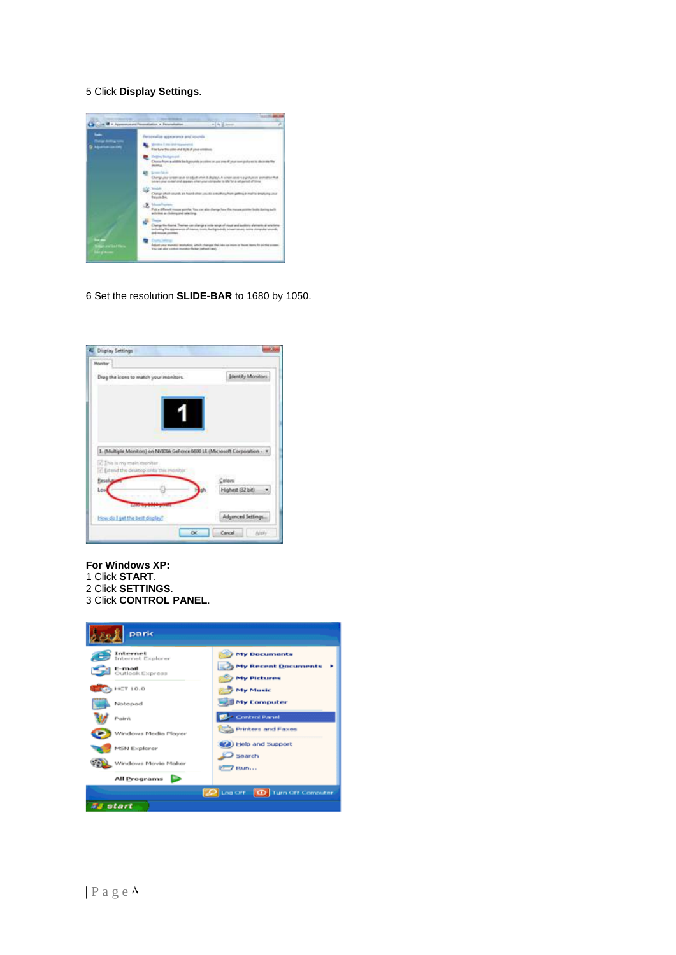#### 5 Click **Display Settings**.



6 Set the resolution **SLIDE-BAR** to 1680 by 1050.



- **For Windows XP:**
- 1 Click **START**.
- 2 Click **SETTINGS**.
- 3 Click **CONTROL PANEL**.

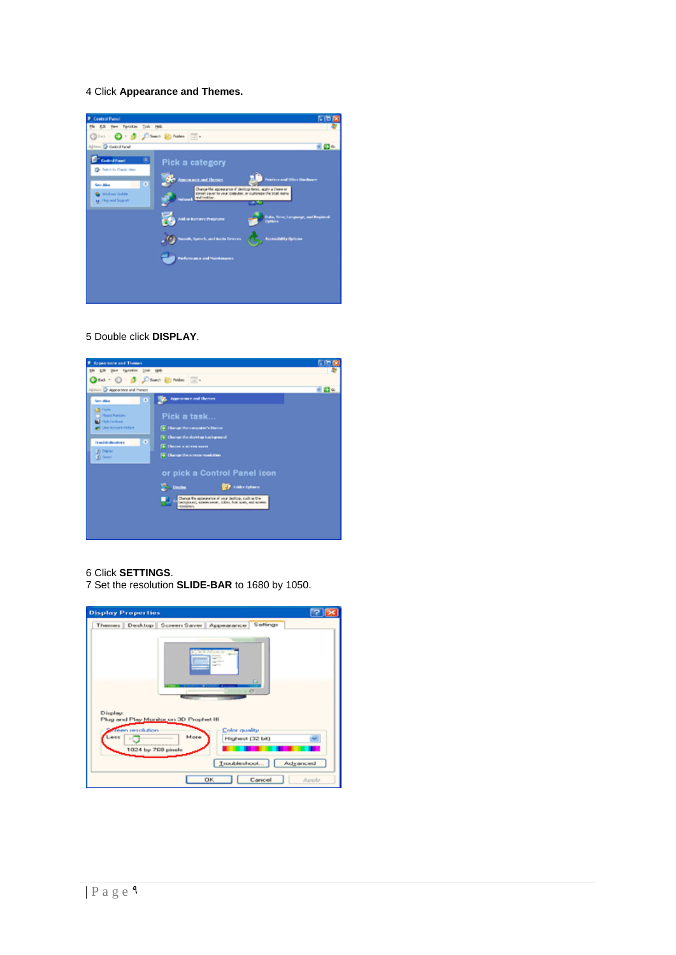4 Click **Appearance and Themes.**

|                                                                                                                                                                                                                                                                                                                                                                                      | <b>GID</b> |
|--------------------------------------------------------------------------------------------------------------------------------------------------------------------------------------------------------------------------------------------------------------------------------------------------------------------------------------------------------------------------------------|------------|
| No Cit Yen Faradas (sell Help                                                                                                                                                                                                                                                                                                                                                        |            |
| <b>Deal . O . B Down E have IT.</b>                                                                                                                                                                                                                                                                                                                                                  |            |
| Address C Corpul Fore!<br>一 四 一                                                                                                                                                                                                                                                                                                                                                      |            |
| <b>Control Panel</b><br>×<br>Pick a category<br><b>Contact Cast Sex</b><br><b>Repeatance and Themes</b><br>Printers and Other Hardware<br>۰<br><b>San Alban</b><br>Change the appearance of device heres, apply a these or<br>street saver to your computer, or customers the Statt works<br><b>Carolina Unite</b><br>and institute<br>where t<br><b>U.</b> Hop and Support<br>18.97 |            |
| <b>Cube, Time, Language, and Regional</b><br><b>Idd or Kerneys Pregnans</b><br><b>Cultivate</b>                                                                                                                                                                                                                                                                                      |            |
| unde, Sperrch, and Audio Devices<br><b>Accessibility Options</b>                                                                                                                                                                                                                                                                                                                     |            |
| Performance and Maintenance                                                                                                                                                                                                                                                                                                                                                          |            |
|                                                                                                                                                                                                                                                                                                                                                                                      |            |

5 Double click **DISPLAY**.



- 6 Click **SETTINGS**.
- 7 Set the resolution **SLIDE-BAR** to 1680 by 1050.

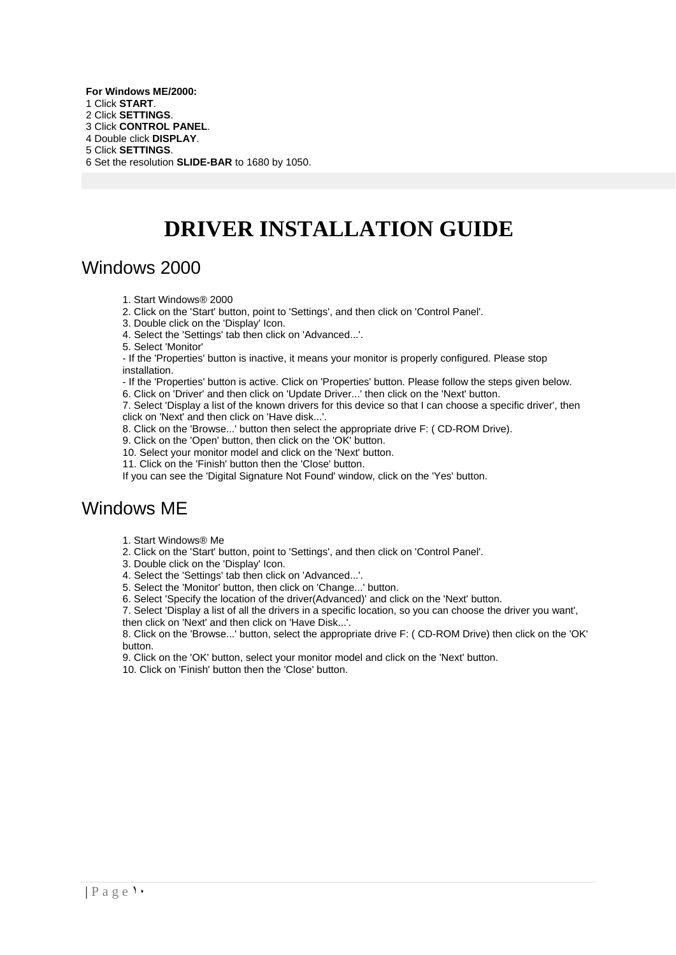**For Windows ME/2000:** 1 Click **START**. 2 Click **SETTINGS**. 3 Click **CONTROL PANEL**. 4 Double click **DISPLAY**. 5 Click **SETTINGS**. 6 Set the resolution **SLIDE-BAR** to 1680 by 1050.

### **DRIVER INSTALLATION GUIDE**

#### Windows 2000

- 1. Start Windows® 2000
- 2. Click on the 'Start' button, point to 'Settings', and then click on 'Control Panel'.
- 3. Double click on the 'Display' Icon.
- 4. Select the 'Settings' tab then click on 'Advanced...'.
- 5. Select 'Monitor'

- If the 'Properties' button is inactive, it means your monitor is properly configured. Please stop installation.

- If the 'Properties' button is active. Click on 'Properties' button. Please follow the steps given below. 6. Click on 'Driver' and then click on 'Update Driver...' then click on the 'Next' button.

7. Select 'Display a list of the known drivers for this device so that I can choose a specific driver', then click on 'Next' and then click on 'Have disk...'.

- 8. Click on the 'Browse...' button then select the appropriate drive F: ( CD-ROM Drive).
- 9. Click on the 'Open' button, then click on the 'OK' button.
- 10. Select your monitor model and click on the 'Next' button.
- 11. Click on the 'Finish' button then the 'Close' button.
- If you can see the 'Digital Signature Not Found' window, click on the 'Yes' button.

#### Windows ME

- 1. Start Windows® Me
- 2. Click on the 'Start' button, point to 'Settings', and then click on 'Control Panel'.
- 3. Double click on the 'Display' Icon.
- 4. Select the 'Settings' tab then click on 'Advanced...'.
- 5. Select the 'Monitor' button, then click on 'Change...' button.
- 6. Select 'Specify the location of the driver(Advanced)' and click on the 'Next' button.
- 7. Select 'Display a list of all the drivers in a specific location, so you can choose the driver you want', then click on 'Next' and then click on 'Have Disk...'.

8. Click on the 'Browse...' button, select the appropriate drive F: ( CD-ROM Drive) then click on the 'OK' button.

9. Click on the 'OK' button, select your monitor model and click on the 'Next' button.

10. Click on 'Finish' button then the 'Close' button.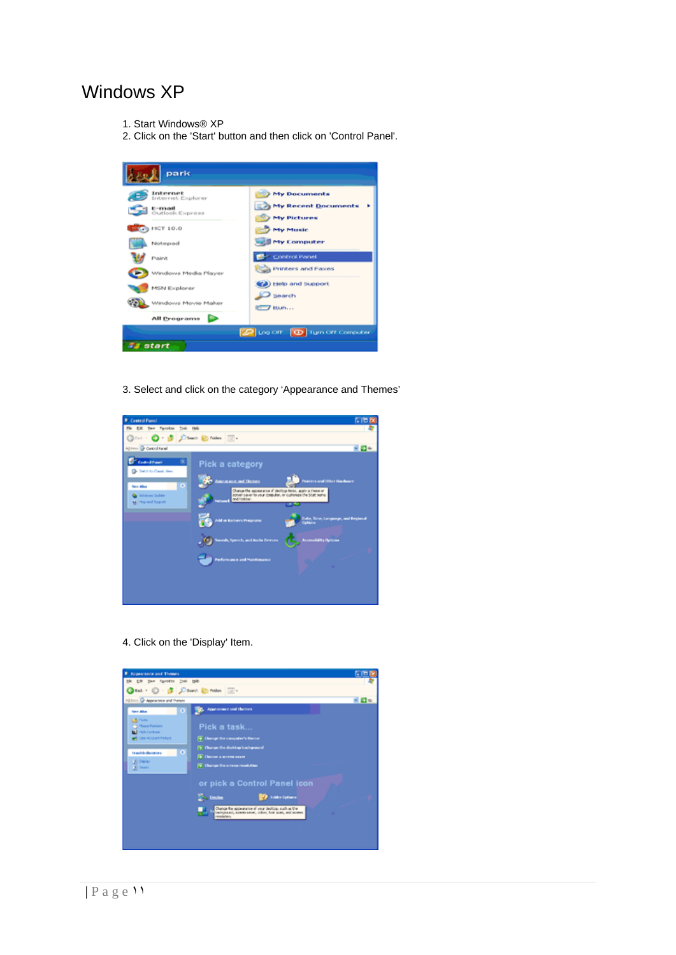#### Windows XP

- 1. Start Windows® XP
- 2. Click on the 'Start' button and then click on 'Control Panel'.



3. Select and click on the category 'Appearance and Themes'



4. Click on the 'Display' Item.

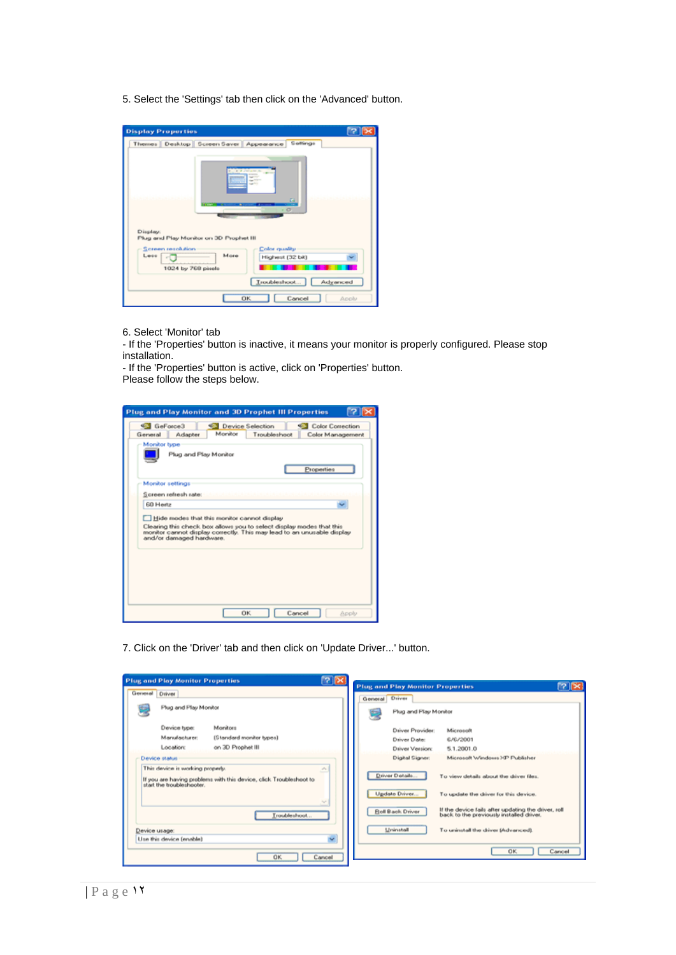5. Select the 'Settings' tab then click on the 'Advanced' button.

| <b>Display Properties</b> |                                                                                                     |          |
|---------------------------|-----------------------------------------------------------------------------------------------------|----------|
|                           | Settings<br>Themes Desktop Screen Saver Appearance                                                  |          |
|                           | <b>BURGER PRODUCT</b><br><b>SACTOR</b><br><b>CALIFORNIA</b><br><b>Sales Free</b><br>E4<br>$ \sigma$ |          |
| Display:                  | Plug and Play Monitor on 3D Prophet III                                                             |          |
| Screen resolution         | Color quality                                                                                       |          |
| Less                      | More<br>Highest (32 bit)                                                                            |          |
| 1024 by 769 pinels        |                                                                                                     |          |
|                           | Troubleshoot                                                                                        | Advanced |
|                           | Cancel<br>OK.                                                                                       | Apply    |

6. Select 'Monitor' tab

- If the 'Properties' button is inactive, it means your monitor is properly configured. Please stop installation.

- If the 'Properties' button is active, click on 'Properties' button.

Please follow the steps below.

| <b>Plug and Play Monitor and 3D Prophet III Properties</b>                                                                                                                                                                |
|---------------------------------------------------------------------------------------------------------------------------------------------------------------------------------------------------------------------------|
| GeForce3<br>Device Selection<br>Color Correction<br>Monitor<br>Troubleshoot<br>Color Management<br>Adapter<br>General                                                                                                     |
| Monitor type<br>Plug and Play Monitor<br>Properties                                                                                                                                                                       |
| Monitor settings                                                                                                                                                                                                          |
| Screen refresh rate:                                                                                                                                                                                                      |
| 60 Hertz                                                                                                                                                                                                                  |
| Hide modes that this monitor cannot display<br>Clearing this check box allows you to select display modes that this<br>monitor cannot display correctly. This may lead to an unusable display<br>and/or damaged hardware. |
|                                                                                                                                                                                                                           |
| <b>OK</b><br>Cancel<br>Apply                                                                                                                                                                                              |

7. Click on the 'Driver' tab and then click on 'Update Driver...' button.

| <b>Plug and Play Monitor Properties</b>                                                                                                                                                                                                                                                                                                   |                                                                                                                                                                                                                                                                                                                                                                                                                                                                                                                                                                      |
|-------------------------------------------------------------------------------------------------------------------------------------------------------------------------------------------------------------------------------------------------------------------------------------------------------------------------------------------|----------------------------------------------------------------------------------------------------------------------------------------------------------------------------------------------------------------------------------------------------------------------------------------------------------------------------------------------------------------------------------------------------------------------------------------------------------------------------------------------------------------------------------------------------------------------|
| General Driver<br>Plug and Play Monitor<br>(Esp<br>Monitors<br>Device type:<br>Manufacturer:<br>[Standard monitor types]<br>on 3D Prophet III<br>Location:<br><b>Device status</b><br>This device is working properly.<br>If you are having problems with this device, click Troubleshoot to<br>start the troubleshooter.<br>Troubleshoot | 2K<br><b>Plug and Play Monitor Properties</b><br><b>13 BC</b><br>Driver<br>General<br>Plug and Play Monitor<br><b>Co</b><br>Driver Provider:<br>Microsoft<br>Driver Date:<br>6/6/2001<br>Driver Version:<br>5.1.2001.0<br>Digital Signer:<br>Microsoft Windows XP Publisher<br>A<br>Driver Details<br>To view details about the driver files.<br>Update Driver<br>To update the driver for this device.<br>$\mathcal{M}_{\mathcal{A}}$<br>If the device fails after updating the driver, roll<br><b>Boll Back Driver</b><br>back to the previously installed driver. |
| Device usage:<br>Use this device (enable)<br><b>OK</b>                                                                                                                                                                                                                                                                                    | Uninstall<br>To uninstall the driver (Advanced).<br>$\overline{\phantom{a}}$<br><b>OK</b><br>Cancel<br>Cancel                                                                                                                                                                                                                                                                                                                                                                                                                                                        |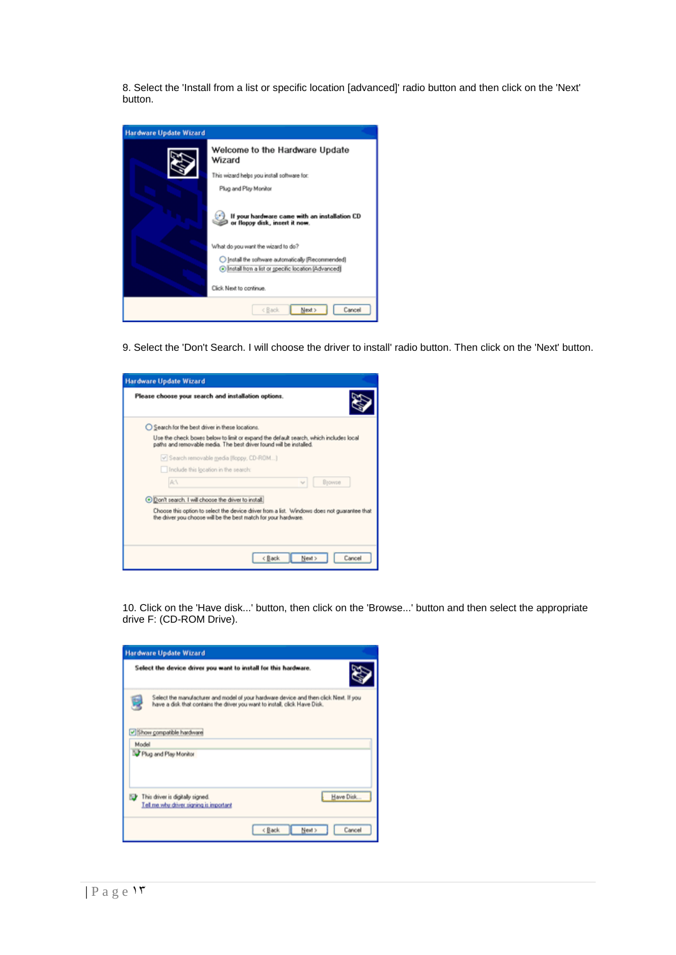8. Select the 'Install from a list or specific location [advanced]' radio button and then click on the 'Next' button.

| <b>Hardware Update Wizard</b> |                                                                                                               |
|-------------------------------|---------------------------------------------------------------------------------------------------------------|
|                               | Welcome to the Hardware Update<br>Wizard                                                                      |
|                               | This wizard helps you install software for:                                                                   |
|                               | Plug and Play Monitor                                                                                         |
|                               | If your hardware came with an installation CD<br>or floppy disk, insert it now.                               |
|                               | What do you want the wizard to do?                                                                            |
|                               | O Install the software automatically [Recommended]<br>[.] Install from a list or specific location (Advanced) |
|                               | Click Next to continue.                                                                                       |
|                               | Cancel<br>c Back<br>Next >                                                                                    |

9. Select the 'Don't Search. I will choose the driver to install' radio button. Then click on the 'Next' button.

| <b>Hardware Update Wizard</b>                                                                                                                                  |        |
|----------------------------------------------------------------------------------------------------------------------------------------------------------------|--------|
| Please choose your search and installation options.                                                                                                            |        |
| ○ Search for the best driver in these locations.                                                                                                               |        |
| Use the check boxes below to limit or expand the default search, which includes local<br>paths and removable media. The best driver found will be installed.   |        |
| V Search removable media (floppy, CD-ROM)                                                                                                                      |        |
| Include this location in the search:                                                                                                                           |        |
| AA<br>Browse<br>$\sim$                                                                                                                                         |        |
| <b>ODon't search.</b> I will choose the driver to install.                                                                                                     |        |
| Choose this option to select the device driver from a list. Windows does not guarantee that<br>the driver you choose will be the best match for your hardware. |        |
| < Back<br>Next >                                                                                                                                               | Cancel |

10. Click on the 'Have disk...' button, then click on the 'Browse...' button and then select the appropriate drive F: (CD-ROM Drive).

| Select the device driver you want to install for this hardware.                                               |                                                                                       |
|---------------------------------------------------------------------------------------------------------------|---------------------------------------------------------------------------------------|
| э<br>have a disk that contains the driver you want to install, click Have Disk.<br>v Show compatible hardware | Select the manufacturer and model of your hardware device and then click Next. If you |
| Model                                                                                                         |                                                                                       |
| Plug and Play Monitor                                                                                         |                                                                                       |
| This driver is digitally signed.<br>Tell me why driver signing is important                                   | Have Disk                                                                             |
|                                                                                                               |                                                                                       |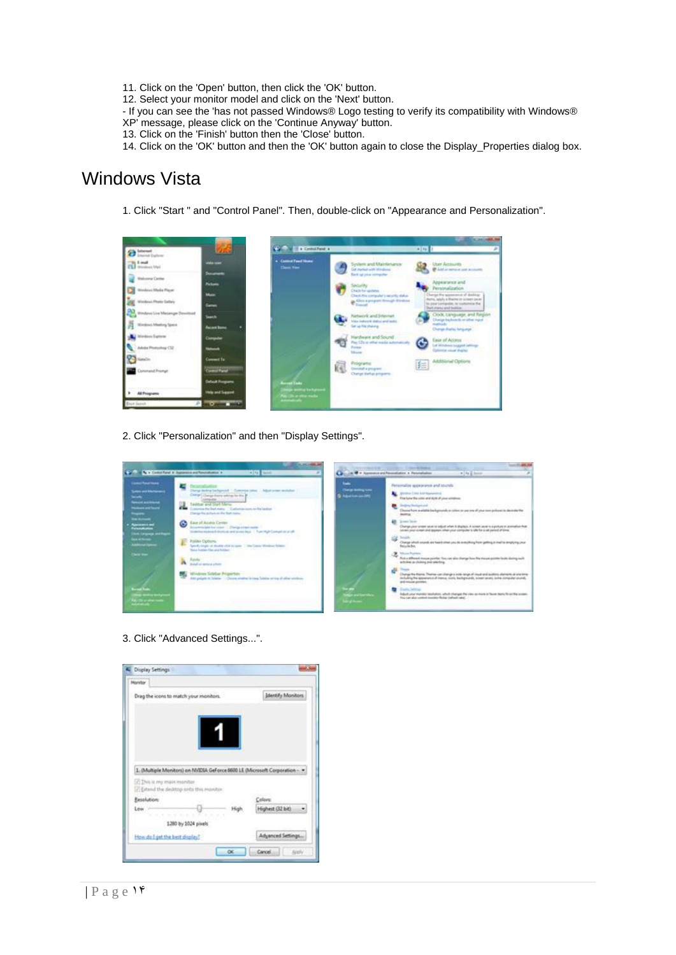- 11. Click on the 'Open' button, then click the 'OK' button.
- 12. Select your monitor model and click on the 'Next' button.
- If you can see the 'has not passed Windows® Logo testing to verify its compatibility with Windows®
- XP' message, please click on the 'Continue Anyway' button.
- 13. Click on the 'Finish' button then the 'Close' button.
- 14. Click on the 'OK' button and then the 'OK' button again to close the Display\_Properties dialog box.

#### Windows Vista

1. Click "Start " and "Control Panel". Then, double-click on "Appearance and Personalization".



2. Click "Personalization" and then "Display Settings".



3. Click "Advanced Settings...".

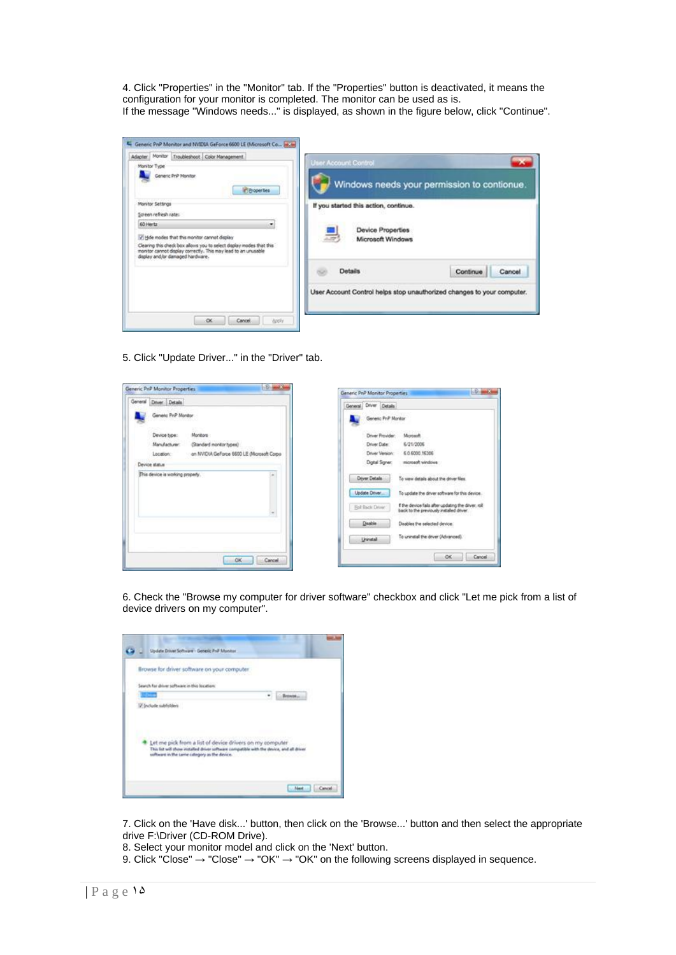4. Click "Properties" in the "Monitor" tab. If the "Properties" button is deactivated, it means the configuration for your monitor is completed. The monitor can be used as is. If the message "Windows needs..." is displayed, as shown in the figure below, click "Continue".

| Adapter Monitor Troubleshoot Color Management<br>Monitor Type<br>Generic PrP Monitor<br><b>Infigroperties</b>                                                                                                                                                                            | <b>User Account Control</b><br>Windows needs your permission to contionue.                                     |  |
|------------------------------------------------------------------------------------------------------------------------------------------------------------------------------------------------------------------------------------------------------------------------------------------|----------------------------------------------------------------------------------------------------------------|--|
| Monitor Settings<br>Screen refresh rate:<br>60 Hertz<br>٠<br>>>> Hoe modes that this monitor cannot display<br>Clearing this check box allows you to select display modes that this<br>monitor cannot deplay correctly. This may lead to an unusable<br>display and/or damaged hardware. | If you started this action, continue.<br>Device Properties<br>Microsoft Windows                                |  |
|                                                                                                                                                                                                                                                                                          | <b>Details</b><br>Continue<br>Cancel<br>User Account Control helps stop unauthorized changes to your computer. |  |

5. Click "Update Driver..." in the "Driver" tab.



6. Check the "Browse my computer for driver software" checkbox and click "Let me pick from a list of device drivers on my computer".

| Update Driver Software - Genesic Prof Monitor                                                                                                                                                        |                    |  |
|------------------------------------------------------------------------------------------------------------------------------------------------------------------------------------------------------|--------------------|--|
| Browse for driver software on your computer.                                                                                                                                                         |                    |  |
| Search for driver software in this location.                                                                                                                                                         |                    |  |
|                                                                                                                                                                                                      | <b>Engineering</b> |  |
| P. Include subfisiders                                                                                                                                                                               |                    |  |
| Let me pick from a list of device drivers on my computer<br>This list will show installed driver software compatible with the device, and all driver<br>software in the same category as the device. |                    |  |
|                                                                                                                                                                                                      |                    |  |

7. Click on the 'Have disk...' button, then click on the 'Browse...' button and then select the appropriate drive F:\Driver (CD-ROM Drive).

- 8. Select your monitor model and click on the 'Next' button.
- 9. Click "Close"  $\rightarrow$  "Close"  $\rightarrow$  "OK"  $\rightarrow$  "OK" on the following screens displayed in sequence.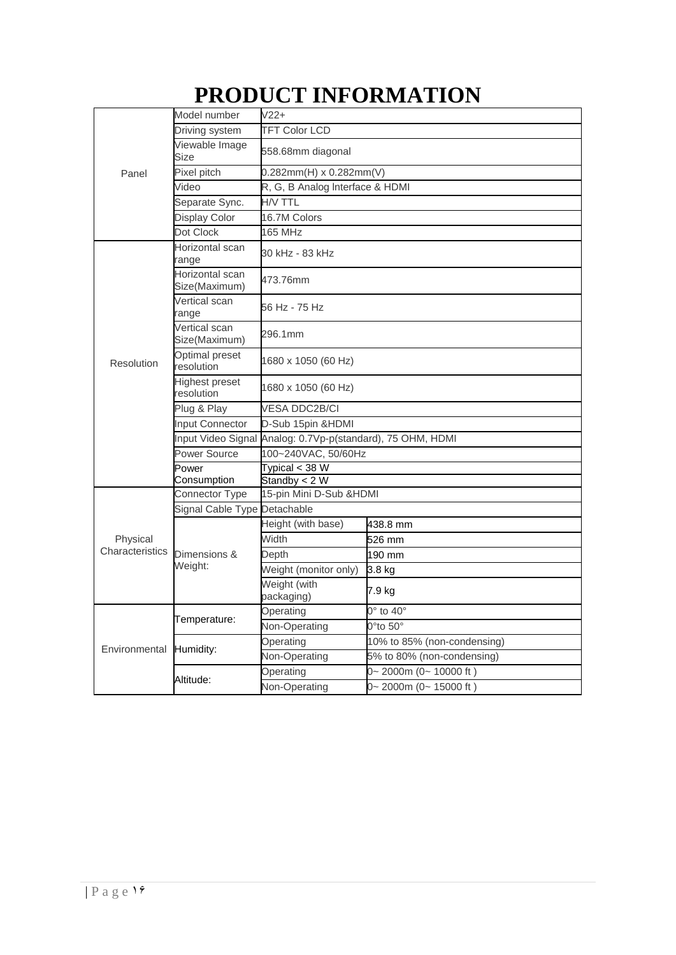# **PRODUCT INFORMATION**

|                             | Model number                     | $V22+$                                  |                                |  |  |
|-----------------------------|----------------------------------|-----------------------------------------|--------------------------------|--|--|
|                             | Driving system                   | <b>TFT Color LCD</b>                    |                                |  |  |
| Panel                       | Viewable Image<br>Size           | 558.68mm diagonal                       |                                |  |  |
|                             | Pixel pitch                      |                                         | $0.282mm(H) \times 0.282mm(V)$ |  |  |
|                             | Video                            | R, G, B Analog Interface & HDMI         |                                |  |  |
|                             | Separate Sync.                   | H/V TTL                                 |                                |  |  |
|                             | Display Color                    | 16.7M Colors                            |                                |  |  |
|                             | Dot Clock                        | 165 MHz                                 |                                |  |  |
|                             | Horizontal scan<br>range         | 30 kHz - 83 kHz                         |                                |  |  |
|                             | Horizontal scan<br>Size(Maximum) | 473.76mm                                |                                |  |  |
|                             | Vertical scan<br>range           | 56 Hz - 75 Hz                           |                                |  |  |
|                             | Vertical scan<br>Size(Maximum)   | 296.1mm                                 |                                |  |  |
| Resolution                  | Optimal preset<br>resolution     | 1680 x 1050 (60 Hz)                     |                                |  |  |
|                             | Highest preset<br>esolution      | 1680 x 1050 (60 Hz)                     |                                |  |  |
|                             | Plug & Play                      | <b>VESA DDC2B/CI</b>                    |                                |  |  |
|                             | Input Connector                  | D-Sub 15pin &HDMI                       |                                |  |  |
|                             | Input Video Signal               | Analog: 0.7Vp-p(standard), 75 OHM, HDMI |                                |  |  |
|                             | Power Source                     | 100~240VAC, 50/60Hz                     |                                |  |  |
|                             | Power                            | Typical $<$ 38 W                        |                                |  |  |
|                             | Consumption                      | Standby < 2 W                           |                                |  |  |
|                             | Connector Type                   | 15-pin Mini D-Sub &HDMI                 |                                |  |  |
|                             | Signal Cable Type Detachable     |                                         |                                |  |  |
|                             |                                  | Height (with base)                      | 438.8 mm                       |  |  |
| Physical<br>Characteristics |                                  | Width                                   | 526 mm                         |  |  |
|                             | Dimensions &<br>Weight:          | Depth                                   | 190 mm                         |  |  |
|                             |                                  | Weight (monitor only)                   | 3.8 kg                         |  |  |
|                             |                                  | Weight (with<br>packaging)              | 7.9 kg                         |  |  |
|                             | Temperature:                     | Operating                               | $0^{\circ}$ to $40^{\circ}$    |  |  |
|                             |                                  | Non-Operating                           | $0^{\circ}$ to 50 $^{\circ}$   |  |  |
| Environmental               | Humidity:                        | Operating                               | 10% to 85% (non-condensing)    |  |  |
|                             |                                  | Non-Operating                           | 5% to 80% (non-condensing)     |  |  |
|                             | Altitude:                        | Operating                               | $0 - 2000$ m (0~ 10000 ft)     |  |  |
|                             |                                  | Non-Operating                           | $0 - 2000$ m $(0 - 15000$ ft)  |  |  |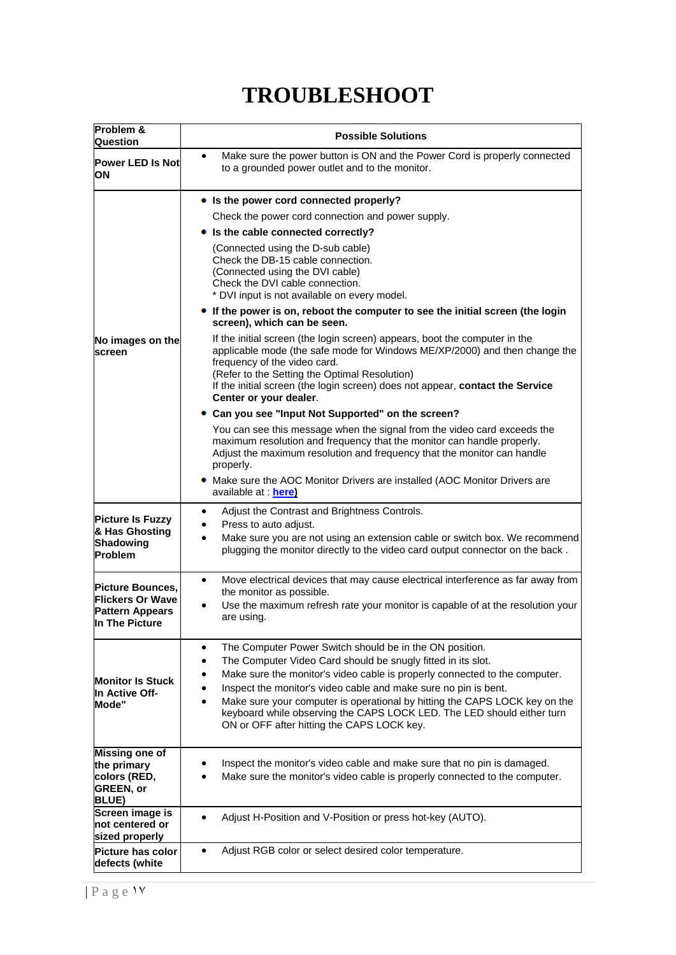# **TROUBLESHOOT**

| Problem &                                                                                | <b>Possible Solutions</b>                                                                                                                                                                                                                                                                                                                            |
|------------------------------------------------------------------------------------------|------------------------------------------------------------------------------------------------------------------------------------------------------------------------------------------------------------------------------------------------------------------------------------------------------------------------------------------------------|
| <b>Question</b><br><b>Power LED Is Not</b>                                               | Make sure the power button is ON and the Power Cord is properly connected<br>$\bullet$<br>to a grounded power outlet and to the monitor.                                                                                                                                                                                                             |
| <b>ON</b>                                                                                |                                                                                                                                                                                                                                                                                                                                                      |
|                                                                                          | • Is the power cord connected properly?                                                                                                                                                                                                                                                                                                              |
|                                                                                          | Check the power cord connection and power supply.                                                                                                                                                                                                                                                                                                    |
|                                                                                          | • Is the cable connected correctly?                                                                                                                                                                                                                                                                                                                  |
|                                                                                          | (Connected using the D-sub cable)<br>Check the DB-15 cable connection.<br>(Connected using the DVI cable)<br>Check the DVI cable connection.<br>* DVI input is not available on every model.                                                                                                                                                         |
|                                                                                          | • If the power is on, reboot the computer to see the initial screen (the login<br>screen), which can be seen.                                                                                                                                                                                                                                        |
| No images on the<br>screen                                                               | If the initial screen (the login screen) appears, boot the computer in the<br>applicable mode (the safe mode for Windows ME/XP/2000) and then change the<br>frequency of the video card.<br>(Refer to the Setting the Optimal Resolution)<br>If the initial screen (the login screen) does not appear, contact the Service<br>Center or your dealer. |
|                                                                                          | • Can you see "Input Not Supported" on the screen?                                                                                                                                                                                                                                                                                                   |
|                                                                                          | You can see this message when the signal from the video card exceeds the<br>maximum resolution and frequency that the monitor can handle properly.<br>Adjust the maximum resolution and frequency that the monitor can handle<br>properly.                                                                                                           |
|                                                                                          | • Make sure the AOC Monitor Drivers are installed (AOC Monitor Drivers are<br>available at : <b>here</b> )                                                                                                                                                                                                                                           |
| <b>Picture Is Fuzzy</b><br>& Has Ghosting<br>Shadowing                                   | Adjust the Contrast and Brightness Controls.<br>$\bullet$<br>Press to auto adjust.<br>Make sure you are not using an extension cable or switch box. We recommend<br>$\bullet$                                                                                                                                                                        |
| <b>Problem</b>                                                                           | plugging the monitor directly to the video card output connector on the back.                                                                                                                                                                                                                                                                        |
| <b>Picture Bounces,</b><br><b>Flickers Or Wave</b>                                       | Move electrical devices that may cause electrical interference as far away from<br>$\bullet$<br>the monitor as possible.                                                                                                                                                                                                                             |
| <b>Pattern Appears</b><br>In The Picture                                                 | Use the maximum refresh rate your monitor is capable of at the resolution your<br>are using.                                                                                                                                                                                                                                                         |
|                                                                                          | The Computer Power Switch should be in the ON position.<br>The Computer Video Card should be snugly fitted in its slot.<br>Make sure the monitor's video cable is properly connected to the computer.                                                                                                                                                |
| <b>Monitor Is Stuck</b><br><b>In Active Off-</b><br>Mode"                                | Inspect the monitor's video cable and make sure no pin is bent.<br>Make sure your computer is operational by hitting the CAPS LOCK key on the<br>$\bullet$<br>keyboard while observing the CAPS LOCK LED. The LED should either turn<br>ON or OFF after hitting the CAPS LOCK key.                                                                   |
| <b>Missing one of</b><br>the primary<br>colors (RED,<br><b>GREEN, or</b><br><b>BLUE)</b> | Inspect the monitor's video cable and make sure that no pin is damaged.<br>Make sure the monitor's video cable is properly connected to the computer.                                                                                                                                                                                                |
| Screen image is<br><b>not centered or</b><br>sized properly                              | Adjust H-Position and V-Position or press hot-key (AUTO).                                                                                                                                                                                                                                                                                            |
| Picture has color<br>defects (white                                                      | Adjust RGB color or select desired color temperature.                                                                                                                                                                                                                                                                                                |